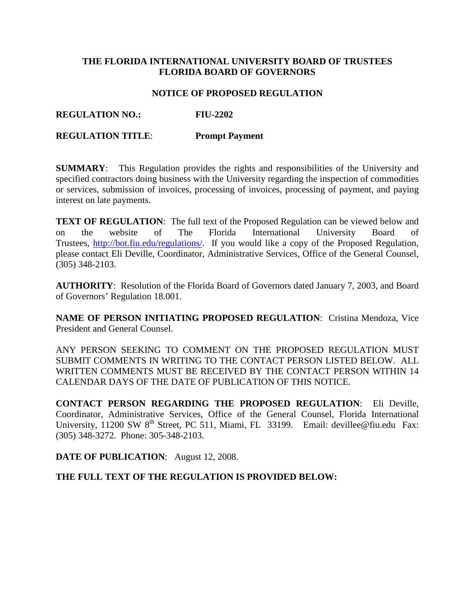# **THE FLORIDA INTERNATIONAL UNIVERSITY BOARD OF TRUSTEES FLORIDA BOARD OF GOVERNORS**

### **NOTICE OF PROPOSED REGULATION**

# **REGULATION NO.: FIU-2202**

### **REGULATION TITLE**: **Prompt Payment**

**SUMMARY**: This Regulation provides the rights and responsibilities of the University and specified contractors doing business with the University regarding the inspection of commodities or services, submission of invoices, processing of invoices, processing of payment, and paying interest on late payments.

**TEXT OF REGULATION:** The full text of the Proposed Regulation can be viewed below and on the website of The Florida International University Board of Trustees, [http://bot.fiu.edu/regulations/.](http://bot.fiu.edu/regulations/) If you would like a copy of the Proposed Regulation, please contact Eli Deville, Coordinator, Administrative Services, Office of the General Counsel, (305) 348-2103.

**AUTHORITY**: Resolution of the Florida Board of Governors dated January 7, 2003, and Board of Governors' Regulation 18.001.

**NAME OF PERSON INITIATING PROPOSED REGULATION**: Cristina Mendoza, Vice President and General Counsel.

ANY PERSON SEEKING TO COMMENT ON THE PROPOSED REGULATION MUST SUBMIT COMMENTS IN WRITING TO THE CONTACT PERSON LISTED BELOW. ALL WRITTEN COMMENTS MUST BE RECEIVED BY THE CONTACT PERSON WITHIN 14 CALENDAR DAYS OF THE DATE OF PUBLICATION OF THIS NOTICE.

**CONTACT PERSON REGARDING THE PROPOSED REGULATION**: Eli Deville, Coordinator, Administrative Services, Office of the General Counsel, Florida International University, 11200 SW 8<sup>th</sup> Street, PC 511, Miami, FL 33199. Email: devillee@fiu.edu Fax: (305) 348-3272. Phone: 305-348-2103.

**DATE OF PUBLICATION**: August 12, 2008.

#### **THE FULL TEXT OF THE REGULATION IS PROVIDED BELOW:**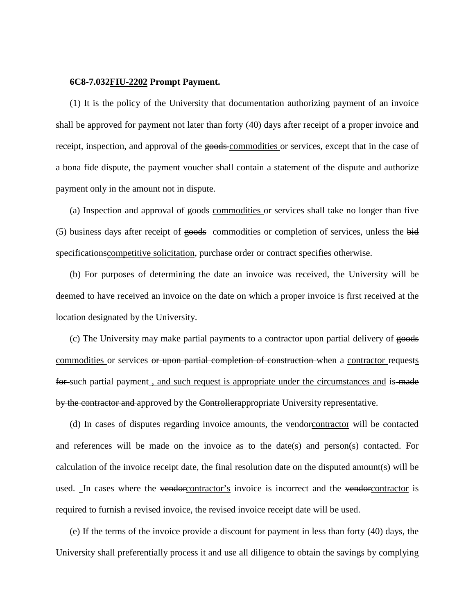#### **6C8-7.032FIU-2202 Prompt Payment.**

(1) It is the policy of the University that documentation authorizing payment of an invoice shall be approved for payment not later than forty (40) days after receipt of a proper invoice and receipt, inspection, and approval of the goods-commodities or services, except that in the case of a bona fide dispute, the payment voucher shall contain a statement of the dispute and authorize payment only in the amount not in dispute.

(a) Inspection and approval of goods commodities or services shall take no longer than five (5) business days after receipt of goods commodities or completion of services, unless the bid specificationscompetitive solicitation, purchase order or contract specifies otherwise.

(b) For purposes of determining the date an invoice was received, the University will be deemed to have received an invoice on the date on which a proper invoice is first received at the location designated by the University.

(c) The University may make partial payments to a contractor upon partial delivery of goods commodities or services or upon partial completion of construction when a contractor requests for such partial payment, and such request is appropriate under the circumstances and is made by the contractor and approved by the Controllerappropriate University representative.

(d) In cases of disputes regarding invoice amounts, the vendorcontractor will be contacted and references will be made on the invoice as to the date(s) and person(s) contacted. For calculation of the invoice receipt date, the final resolution date on the disputed amount(s) will be used. In cases where the vendorcontractor's invoice is incorrect and the vendorcontractor is required to furnish a revised invoice, the revised invoice receipt date will be used.

(e) If the terms of the invoice provide a discount for payment in less than forty (40) days, the University shall preferentially process it and use all diligence to obtain the savings by complying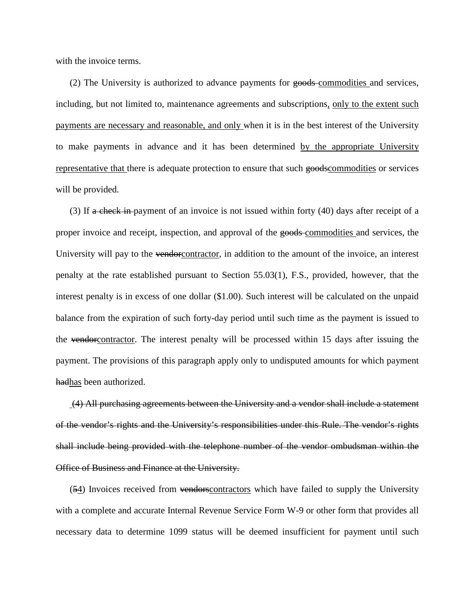with the invoice terms.

(2) The University is authorized to advance payments for goods-commodities and services, including, but not limited to, maintenance agreements and subscriptions, only to the extent such payments are necessary and reasonable, and only when it is in the best interest of the University to make payments in advance and it has been determined by the appropriate University representative that there is adequate protection to ensure that such goodscommodities or services will be provided.

(3) If  $\alpha$  check in payment of an invoice is not issued within forty (40) days after receipt of a proper invoice and receipt, inspection, and approval of the goods commodities and services, the University will pay to the vendore contractor, in addition to the amount of the invoice, an interest penalty at the rate established pursuant to Section 55.03(1), F.S., provided, however, that the interest penalty is in excess of one dollar (\$1.00). Such interest will be calculated on the unpaid balance from the expiration of such forty-day period until such time as the payment is issued to the vendorcontractor. The interest penalty will be processed within 15 days after issuing the payment. The provisions of this paragraph apply only to undisputed amounts for which payment hadhas been authorized.

(4) All purchasing agreements between the University and a vendor shall include a statement of the vendor's rights and the University's responsibilities under this Rule. The vendor's rights shall include being provided with the telephone number of the vendor ombudsman within the Office of Business and Finance at the University.

(54) Invoices received from vendors contractors which have failed to supply the University with a complete and accurate Internal Revenue Service Form W-9 or other form that provides all necessary data to determine 1099 status will be deemed insufficient for payment until such